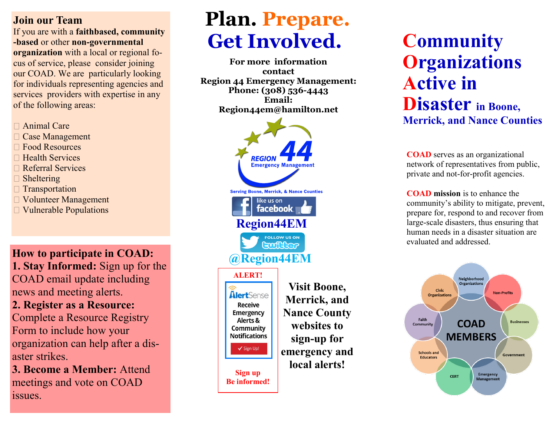#### **Join our Team**

If you are with a **faithbased, community -based** or other **non-governmental organization** with a local or regional focus of service, please consider joining our COAD. We are particularly looking for individuals representing agencies and services providers with expertise in any of the following areas:

- □ Animal Care
- Case Management
- Food Resources
- $\Box$  Health Services
- Referral Services
- $\Box$  Sheltering
- **Transportation**
- Volunteer Management
- Vulnerable Populations

**How to participate in COAD: 1. Stay Informed:** Sign up for the COAD email update including news and meeting alerts.

**2. Register as a Resource:**  Complete a Resource Registry Form to include how your organization can help after a disaster strikes.

**3. Become a Member:** Attend meetings and vote on COAD issues.

# **Plan. Prepare. Get Involved.**

**For more information contact Region 44 Emergency Management: Phone: (308) 536-4443 Email: Region44em@hamilton.net**



## **Community Organizations Active in Disaster in Boone, Merrick, and Nance Counties**

**COAD** serves as an organizational network of representatives from public, private and not-for-profit agencies.

**COAD mission** is to enhance the community's ability to mitigate, prevent, prepare for, respond to and recover from large-scale disasters, thus ensuring that human needs in a disaster situation are evaluated and addressed.